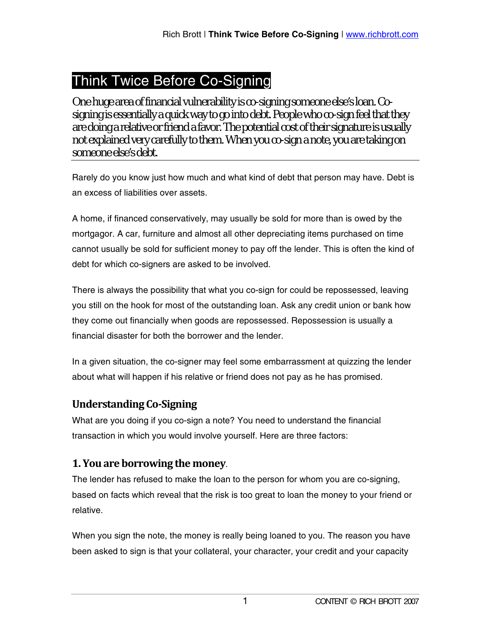# Think Twice Before Co-Signing

One huge area of financial vulnerability is co-signing someone else's loan. Cosigning is essentially a quick way to go into debt. People who co-sign feel that they are doing a relative or friend a favor. The potential cost of their signature is usually not explained very carefully to them. When you co-sign a note, you are taking on someone else's debt.

Rarely do you know just how much and what kind of debt that person may have. Debt is an excess of liabilities over assets.

A home, if financed conservatively, may usually be sold for more than is owed by the mortgagor. A car, furniture and almost all other depreciating items purchased on time cannot usually be sold for sufficient money to pay off the lender. This is often the kind of debt for which co-signers are asked to be involved.

There is always the possibility that what you co-sign for could be repossessed, leaving you still on the hook for most of the outstanding loan. Ask any credit union or bank how they come out financially when goods are repossessed. Repossession is usually a financial disaster for both the borrower and the lender.

In a given situation, the co-signer may feel some embarrassment at quizzing the lender about what will happen if his relative or friend does not pay as he has promised.

## **Understanding Co‐Signing**

What are you doing if you co-sign a note? You need to understand the financial transaction in which you would involve yourself. Here are three factors:

#### **1.Youareborrowing the money**.

The lender has refused to make the loan to the person for whom you are co-signing, based on facts which reveal that the risk is too great to loan the money to your friend or relative.

When you sign the note, the money is really being loaned to you. The reason you have been asked to sign is that your collateral, your character, your credit and your capacity